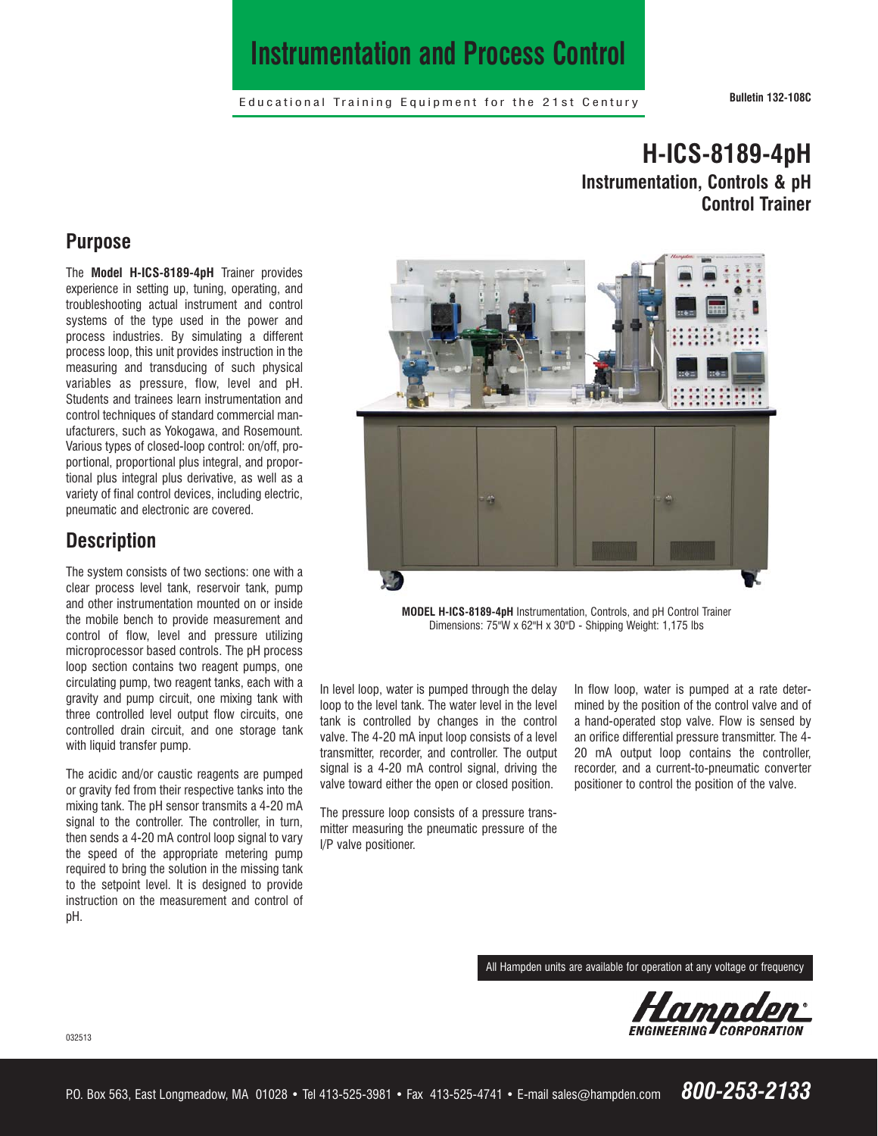# **Instrumentation and Process Control**

Educational Training Equipment for the 21st Century **Bulletin 132-108C**

# **H-ICS-8189-4pH Instrumentation, Controls & pH Control Trainer**

### **Purpose**

The **Model H-ICS-8189-4pH** Trainer provides experience in setting up, tuning, operating, and troubleshooting actual instrument and control systems of the type used in the power and process industries. By simulating a different process loop, this unit provides instruction in the measuring and transducing of such physical variables as pressure, flow, level and pH. Students and trainees learn instrumentation and control techniques of standard commercial manufacturers, such as Yokogawa, and Rosemount. Various types of closed-loop control: on/off, proportional, proportional plus integral, and proportional plus integral plus derivative, as well as a variety of final control devices, including electric, pneumatic and electronic are covered.

### **Description**

The system consists of two sections: one with a clear process level tank, reservoir tank, pump and other instrumentation mounted on or inside the mobile bench to provide measurement and control of flow, level and pressure utilizing microprocessor based controls. The pH process loop section contains two reagent pumps, one circulating pump, two reagent tanks, each with a gravity and pump circuit, one mixing tank with three controlled level output flow circuits, one controlled drain circuit, and one storage tank with liquid transfer pump.

The acidic and/or caustic reagents are pumped or gravity fed from their respective tanks into the mixing tank. The pH sensor transmits a 4-20 mA signal to the controller. The controller, in turn, then sends a 4-20 mA control loop signal to vary the speed of the appropriate metering pump required to bring the solution in the missing tank to the setpoint level. It is designed to provide instruction on the measurement and control of pH.



**MODEL H-ICS-8189-4pH** Instrumentation, Controls, and pH Control Trainer Dimensions: 75"W x 62"H x 30"D - Shipping Weight: 1,175 lbs

In level loop, water is pumped through the delay loop to the level tank. The water level in the level tank is controlled by changes in the control valve. The 4-20 mA input loop consists of a level transmitter, recorder, and controller. The output signal is a 4-20 mA control signal, driving the valve toward either the open or closed position.

The pressure loop consists of a pressure transmitter measuring the pneumatic pressure of the I/P valve positioner.

In flow loop, water is pumped at a rate determined by the position of the control valve and of a hand-operated stop valve. Flow is sensed by an orifice differential pressure transmitter. The 4- 20 mA output loop contains the controller, recorder, and a current-to-pneumatic converter positioner to control the position of the valve.

All Hampden units are available for operation at any voltage or frequency